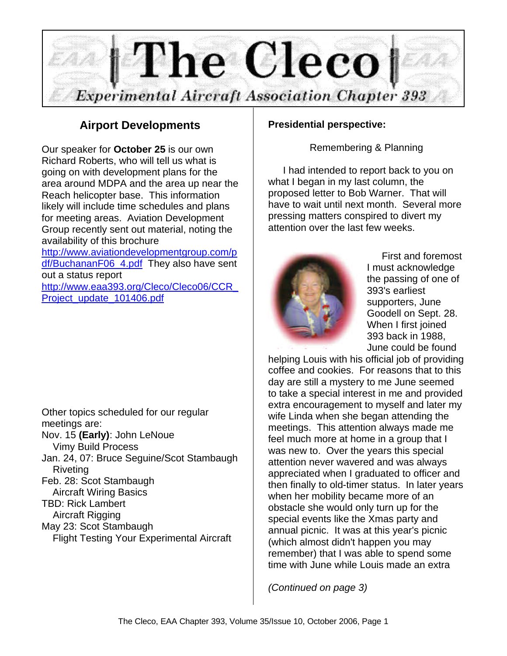

#### **Airport Developments**

Our speaker for **October 25** is our own Richard Roberts, who will tell us what is going on with development plans for the area around MDPA and the area up near the Reach helicopter base. This information likely will include time schedules and plans for meeting areas. Aviation Development Group recently sent out material, noting the availability of this brochure http://www.aviationdevelopmentgroup.com/p

df/BuchananF06\_4.pdf They also have sent out a status report

http://www.eaa393.org/Cleco/Cleco06/CCR\_ Project\_update\_101406.pdf

Other topics scheduled for our regular meetings are: Nov. 15 **(Early)**: John LeNoue Vimy Build Process Jan. 24, 07: Bruce Seguine/Scot Stambaugh Riveting

Feb. 28: Scot Stambaugh

 Aircraft Wiring Basics TBD: Rick Lambert

 Aircraft Rigging May 23: Scot Stambaugh

Flight Testing Your Experimental Aircraft

#### **Presidential perspective:**

Remembering & Planning

I had intended to report back to you on what I began in my last column, the proposed letter to Bob Warner. That will have to wait until next month. Several more pressing matters conspired to divert my attention over the last few weeks.



First and foremost I must acknowledge the passing of one of 393's earliest supporters, June Goodell on Sept. 28. When I first joined 393 back in 1988, June could be found

helping Louis with his official job of providing coffee and cookies. For reasons that to this day are still a mystery to me June seemed to take a special interest in me and provided extra encouragement to myself and later my wife Linda when she began attending the meetings. This attention always made me feel much more at home in a group that I was new to. Over the years this special attention never wavered and was always appreciated when I graduated to officer and then finally to old-timer status. In later years when her mobility became more of an obstacle she would only turn up for the special events like the Xmas party and annual picnic. It was at this year's picnic (which almost didn't happen you may remember) that I was able to spend some time with June while Louis made an extra

*(Continued on page 3)*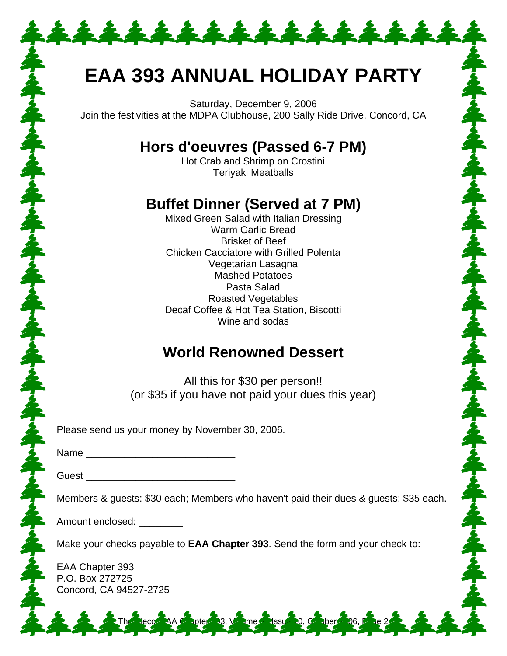## **EAA 393 ANNUAL HOLIDAY PARTY**

\*\*\*\*\*\*\*\*\*\*\*\*\*

Saturday, December 9, 2006 Join the festivities at the MDPA Clubhouse, 200 Sally Ride Drive, Concord, CA

## **Hors d'oeuvres (Passed 6-7 PM)**

Hot Crab and Shrimp on Crostini Teriyaki Meatballs

## **Buffet Dinner (Served at 7 PM)**

Mixed Green Salad with Italian Dressing Warm Garlic Bread Brisket of Beef Chicken Cacciatore with Grilled Polenta Vegetarian Lasagna Mashed Potatoes Pasta Salad Roasted Vegetables Decaf Coffee & Hot Tea Station, Biscotti Wine and sodas

### **World Renowned Dessert**

All this for \$30 per person!! (or \$35 if you have not paid your dues this year)

| Please send us your money by November 30, 2006.                                                                                                                                                                                      |
|--------------------------------------------------------------------------------------------------------------------------------------------------------------------------------------------------------------------------------------|
|                                                                                                                                                                                                                                      |
|                                                                                                                                                                                                                                      |
| Members & guests: \$30 each; Members who haven't paid their dues & guests: \$35 each.                                                                                                                                                |
| Amount enclosed: <u>New York and State and State and State and State and State and State and State and State and State and State and State and State and State and State and State and State and State and State and State and S</u> |
| Make your checks payable to <b>EAA Chapter 393</b> . Send the form and your check to:                                                                                                                                                |
| EAA Chapter 393<br>P.O. Box 272725<br>Concord, CA 94527-2725                                                                                                                                                                         |
| 2 2 2 The leco AA chote 3, young Sussex 20, choose 206, the 22 2 2                                                                                                                                                                   |

ふんずらんずらんずらん

まんするからあるからありるからあります。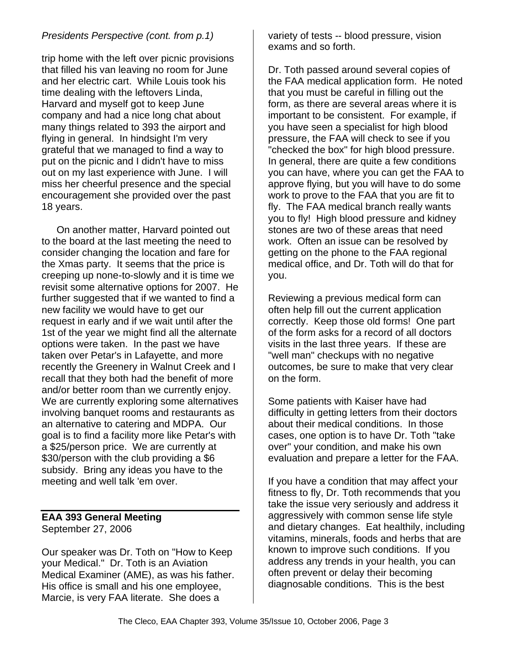#### *Presidents Perspective (cont. from p.1)*

trip home with the left over picnic provisions that filled his van leaving no room for June and her electric cart. While Louis took his time dealing with the leftovers Linda, Harvard and myself got to keep June company and had a nice long chat about many things related to 393 the airport and flying in general. In hindsight I'm very grateful that we managed to find a way to put on the picnic and I didn't have to miss out on my last experience with June. I will miss her cheerful presence and the special encouragement she provided over the past 18 years.

On another matter, Harvard pointed out to the board at the last meeting the need to consider changing the location and fare for the Xmas party. It seems that the price is creeping up none-to-slowly and it is time we revisit some alternative options for 2007. He further suggested that if we wanted to find a new facility we would have to get our request in early and if we wait until after the 1st of the year we might find all the alternate options were taken. In the past we have taken over Petar's in Lafayette, and more recently the Greenery in Walnut Creek and I recall that they both had the benefit of more and/or better room than we currently enjoy. We are currently exploring some alternatives involving banquet rooms and restaurants as an alternative to catering and MDPA. Our goal is to find a facility more like Petar's with a \$25/person price. We are currently at \$30/person with the club providing a \$6 subsidy. Bring any ideas you have to the meeting and well talk 'em over.

#### **EAA 393 General Meeting** September 27, 2006

Our speaker was Dr. Toth on "How to Keep your Medical." Dr. Toth is an Aviation Medical Examiner (AME), as was his father. His office is small and his one employee, Marcie, is very FAA literate. She does a

variety of tests -- blood pressure, vision exams and so forth.

Dr. Toth passed around several copies of the FAA medical application form. He noted that you must be careful in filling out the form, as there are several areas where it is important to be consistent. For example, if you have seen a specialist for high blood pressure, the FAA will check to see if you "checked the box" for high blood pressure. In general, there are quite a few conditions you can have, where you can get the FAA to approve flying, but you will have to do some work to prove to the FAA that you are fit to fly. The FAA medical branch really wants you to fly! High blood pressure and kidney stones are two of these areas that need work. Often an issue can be resolved by getting on the phone to the FAA regional medical office, and Dr. Toth will do that for you.

Reviewing a previous medical form can often help fill out the current application correctly. Keep those old forms! One part of the form asks for a record of all doctors visits in the last three years. If these are "well man" checkups with no negative outcomes, be sure to make that very clear on the form.

Some patients with Kaiser have had difficulty in getting letters from their doctors about their medical conditions. In those cases, one option is to have Dr. Toth "take over" your condition, and make his own evaluation and prepare a letter for the FAA.

If you have a condition that may affect your fitness to fly, Dr. Toth recommends that you take the issue very seriously and address it aggressively with common sense life style and dietary changes. Eat healthily, including vitamins, minerals, foods and herbs that are known to improve such conditions. If you address any trends in your health, you can often prevent or delay their becoming diagnosable conditions. This is the best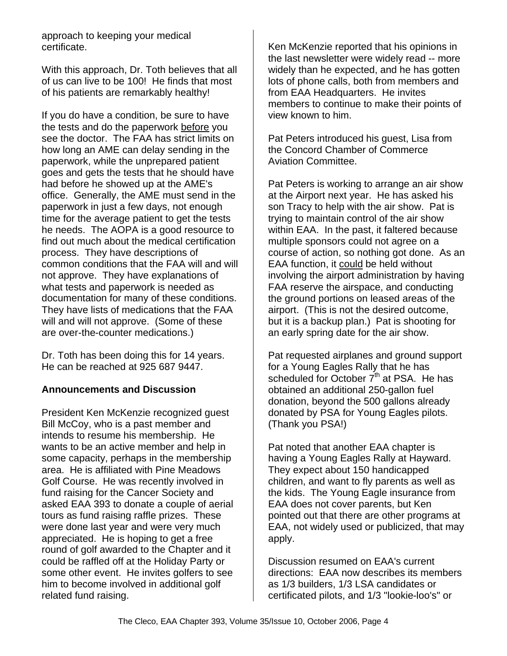approach to keeping your medical certificate.

With this approach, Dr. Toth believes that all of us can live to be 100! He finds that most of his patients are remarkably healthy!

If you do have a condition, be sure to have the tests and do the paperwork before you see the doctor. The FAA has strict limits on how long an AME can delay sending in the paperwork, while the unprepared patient goes and gets the tests that he should have had before he showed up at the AME's office. Generally, the AME must send in the paperwork in just a few days, not enough time for the average patient to get the tests he needs. The AOPA is a good resource to find out much about the medical certification process. They have descriptions of common conditions that the FAA will and will not approve. They have explanations of what tests and paperwork is needed as documentation for many of these conditions. They have lists of medications that the FAA will and will not approve. (Some of these are over-the-counter medications.)

Dr. Toth has been doing this for 14 years. He can be reached at 925 687 9447.

#### **Announcements and Discussion**

President Ken McKenzie recognized guest Bill McCoy, who is a past member and intends to resume his membership. He wants to be an active member and help in some capacity, perhaps in the membership area. He is affiliated with Pine Meadows Golf Course. He was recently involved in fund raising for the Cancer Society and asked EAA 393 to donate a couple of aerial tours as fund raising raffle prizes. These were done last year and were very much appreciated. He is hoping to get a free round of golf awarded to the Chapter and it could be raffled off at the Holiday Party or some other event. He invites golfers to see him to become involved in additional golf related fund raising.

Ken McKenzie reported that his opinions in the last newsletter were widely read -- more widely than he expected, and he has gotten lots of phone calls, both from members and from EAA Headquarters. He invites members to continue to make their points of view known to him.

Pat Peters introduced his guest, Lisa from the Concord Chamber of Commerce Aviation Committee.

Pat Peters is working to arrange an air show at the Airport next year. He has asked his son Tracy to help with the air show. Pat is trying to maintain control of the air show within EAA. In the past, it faltered because multiple sponsors could not agree on a course of action, so nothing got done. As an EAA function, it could be held without involving the airport administration by having FAA reserve the airspace, and conducting the ground portions on leased areas of the airport. (This is not the desired outcome, but it is a backup plan.) Pat is shooting for an early spring date for the air show.

Pat requested airplanes and ground support for a Young Eagles Rally that he has scheduled for October  $7<sup>th</sup>$  at PSA. He has obtained an additional 250-gallon fuel donation, beyond the 500 gallons already donated by PSA for Young Eagles pilots. (Thank you PSA!)

Pat noted that another EAA chapter is having a Young Eagles Rally at Hayward. They expect about 150 handicapped children, and want to fly parents as well as the kids. The Young Eagle insurance from EAA does not cover parents, but Ken pointed out that there are other programs at EAA, not widely used or publicized, that may apply.

Discussion resumed on EAA's current directions: EAA now describes its members as 1/3 builders, 1/3 LSA candidates or certificated pilots, and 1/3 "lookie-loo's" or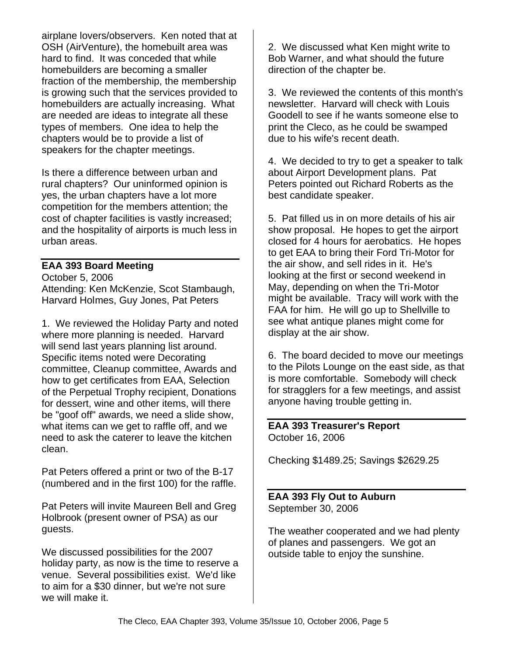airplane lovers/observers. Ken noted that at OSH (AirVenture), the homebuilt area was hard to find. It was conceded that while homebuilders are becoming a smaller fraction of the membership, the membership is growing such that the services provided to homebuilders are actually increasing. What are needed are ideas to integrate all these types of members. One idea to help the chapters would be to provide a list of speakers for the chapter meetings.

Is there a difference between urban and rural chapters? Our uninformed opinion is yes, the urban chapters have a lot more competition for the members attention; the cost of chapter facilities is vastly increased; and the hospitality of airports is much less in urban areas.

#### **EAA 393 Board Meeting**

October 5, 2006 Attending: Ken McKenzie, Scot Stambaugh, Harvard Holmes, Guy Jones, Pat Peters

1. We reviewed the Holiday Party and noted where more planning is needed. Harvard will send last years planning list around. Specific items noted were Decorating committee, Cleanup committee, Awards and how to get certificates from EAA, Selection of the Perpetual Trophy recipient, Donations for dessert, wine and other items, will there be "goof off" awards, we need a slide show, what items can we get to raffle off, and we need to ask the caterer to leave the kitchen clean.

Pat Peters offered a print or two of the B-17 (numbered and in the first 100) for the raffle.

Pat Peters will invite Maureen Bell and Greg Holbrook (present owner of PSA) as our guests.

We discussed possibilities for the 2007 holiday party, as now is the time to reserve a venue. Several possibilities exist. We'd like to aim for a \$30 dinner, but we're not sure we will make it.

2. We discussed what Ken might write to Bob Warner, and what should the future direction of the chapter be.

3. We reviewed the contents of this month's newsletter. Harvard will check with Louis Goodell to see if he wants someone else to print the Cleco, as he could be swamped due to his wife's recent death.

4. We decided to try to get a speaker to talk about Airport Development plans. Pat Peters pointed out Richard Roberts as the best candidate speaker.

5. Pat filled us in on more details of his air show proposal. He hopes to get the airport closed for 4 hours for aerobatics. He hopes to get EAA to bring their Ford Tri-Motor for the air show, and sell rides in it. He's looking at the first or second weekend in May, depending on when the Tri-Motor might be available. Tracy will work with the FAA for him. He will go up to Shellville to see what antique planes might come for display at the air show.

6. The board decided to move our meetings to the Pilots Lounge on the east side, as that is more comfortable. Somebody will check for stragglers for a few meetings, and assist anyone having trouble getting in.

**EAA 393 Treasurer's Report** October 16, 2006

Checking \$1489.25; Savings \$2629.25

**EAA 393 Fly Out to Auburn** September 30, 2006

The weather cooperated and we had plenty of planes and passengers. We got an outside table to enjoy the sunshine.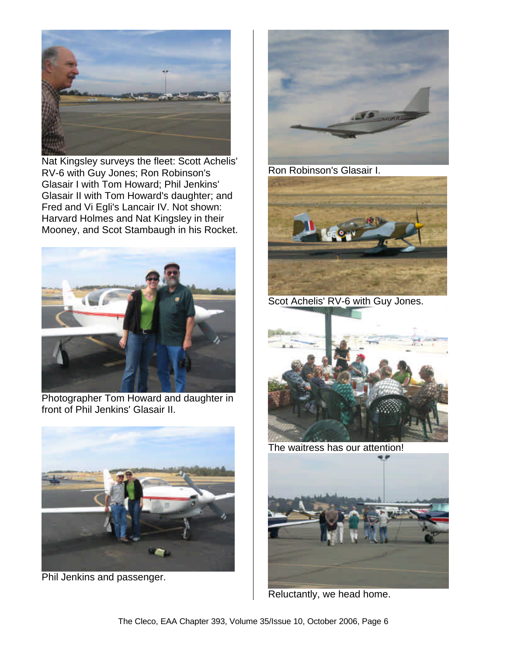

Nat Kingsley surveys the fleet: Scott Achelis' RV-6 with Guy Jones; Ron Robinson's Glasair I with Tom Howard; Phil Jenkins' Glasair II with Tom Howard's daughter; and Fred and Vi Egli's Lancair IV. Not shown: Harvard Holmes and Nat Kingsley in their Mooney, and Scot Stambaugh in his Rocket.



Photographer Tom Howard and daughter in front of Phil Jenkins' Glasair II.



Phil Jenkins and passenger.



Ron Robinson's Glasair I.



Scot Achelis' RV-6 with Guy Jones.



The waitress has our attention!



Reluctantly, we head home.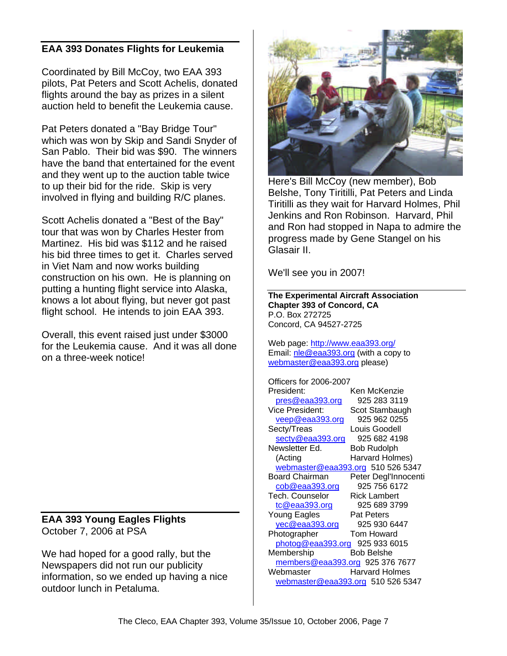#### **EAA 393 Donates Flights for Leukemia**

Coordinated by Bill McCoy, two EAA 393 pilots, Pat Peters and Scott Achelis, donated flights around the bay as prizes in a silent auction held to benefit the Leukemia cause.

Pat Peters donated a "Bay Bridge Tour" which was won by Skip and Sandi Snyder of San Pablo. Their bid was \$90. The winners have the band that entertained for the event and they went up to the auction table twice to up their bid for the ride. Skip is very involved in flying and building R/C planes.

Scott Achelis donated a "Best of the Bay" tour that was won by Charles Hester from Martinez. His bid was \$112 and he raised his bid three times to get it. Charles served in Viet Nam and now works building construction on his own. He is planning on putting a hunting flight service into Alaska, knows a lot about flying, but never got past flight school. He intends to join EAA 393.

Overall, this event raised just under \$3000 for the Leukemia cause. And it was all done on a three-week notice!

**EAA 393 Young Eagles Flights** October 7, 2006 at PSA

We had hoped for a good rally, but the Newspapers did not run our publicity information, so we ended up having a nice outdoor lunch in Petaluma.



Here's Bill McCoy (new member), Bob Belshe, Tony Tiritilli, Pat Peters and Linda Tiritilli as they wait for Harvard Holmes, Phil Jenkins and Ron Robinson. Harvard, Phil and Ron had stopped in Napa to admire the progress made by Gene Stangel on his Glasair II.

We'll see you in 2007!

**The Experimental Aircraft Association Chapter 393 of Concord, CA** P.O. Box 272725 Concord, CA 94527-2725

Web page: http://www.eaa393.org/ Email: nle@eaa393.org (with a copy to webmaster@eaa393.org please)

Officers for 2006-2007 President: Ken McKenzie pres@eaa393.org 925 283 3119 Vice President: Scot Stambaugh veep@eaa393.org 925 962 0255 Secty/Treas Louis Goodell secty@eaa393.org 925 682 4198 Newsletter Ed. Bob Rudolph (Acting Harvard Holmes) webmaster@eaa393.org 510 526 5347 Board Chairman Peter Degl'Innocenti cob@eaa393.org 925 756 6172 Tech. Counselor Rick Lambert tc@eaa393.org 925 689 3799 Young Eagles Pat Peters yec@eaa393.org 925 930 6447 Photographer Tom Howard photog@eaa393.org 925 933 6015 Membership Bob Belshe members@eaa393.org 925 376 7677 Webmaster Harvard Holmes webmaster@eaa393.org 510 526 5347